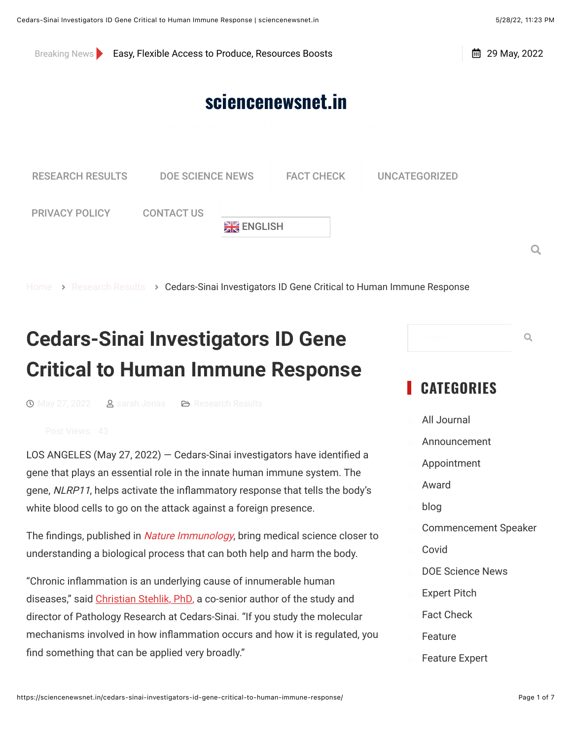Breaking News **[Easy, Flexible Access to Produce, Resources Boosts](https://sciencenewsnet.in/easy-flexible-access-to-produce-resources-boosts-healthy-eating-for-central-texas-kids/)** 

 $\Omega$ 

 $\frac{1}{10}$  29 May 2022

## **[sciencenewsnet.in](https://sciencenewsnet.in/)**



[Home](https://sciencenewsnet.in/) > [Research Results](https://sciencenewsnet.in/category/research-results/) > Cedars-Sinai Investigators ID Gene Critical to Human Immune Response

# **Cedars-Sinai Investigators ID Gene Critical to Human Immune Response**

 $\bigcirc$  [May 27, 2022](https://sciencenewsnet.in/cedars-sinai-investigators-id-gene-critical-to-human-immune-response/)  $\bigcirc$  Sarah Jonas  $\bigcirc$  [Research Results](https://sciencenewsnet.in/category/research-results/)

LOS ANGELES (May 27, 2022)  $-$  Cedars-Sinai investigators have identified a gene that plays an essential role in the innate human immune system. The gene, *NLRP11*, helps activate the inflammatory response that tells the body's white blood cells to go on the attack against a foreign presence.

The findings, published in *[Nature Immunology](https://www.nature.com/articles/s41590-022-01220-3)*, bring medical science closer to understanding a biological process that can both help and harm the body.

"Chronic inflammation is an underlying cause of innumerable human diseases," said [Christian Stehlik, PhD,](https://bio.cedars-sinai.org/stehlikc/index.html) a co-senior author of the study and director of Pathology Research at Cedars-Sinai. "If you study the molecular mechanisms involved in how inflammation occurs and how it is regulated, you find something that can be applied very broadly."

# **CATEGORIES**

Search…  $\qquad \qquad \mathsf{Q}$ 

[All Journal](https://sciencenewsnet.in/category/all-journal/) **[Announcement](https://sciencenewsnet.in/category/announcement/) [Appointment](https://sciencenewsnet.in/category/appointment/) [Award](https://sciencenewsnet.in/category/award/)** [blog](https://sciencenewsnet.in/category/blog/) [Commencement Speaker](https://sciencenewsnet.in/category/commencement-speaker/) [Covid](https://sciencenewsnet.in/category/covid/) [DOE Science News](https://sciencenewsnet.in/category/doe-science-news/) **[Expert Pitch](https://sciencenewsnet.in/category/expert-pitch/) [Fact Check](https://sciencenewsnet.in/category/fact-check/) [Feature](https://sciencenewsnet.in/category/feature/) [Feature Expert](https://sciencenewsnet.in/category/feature-expert/)**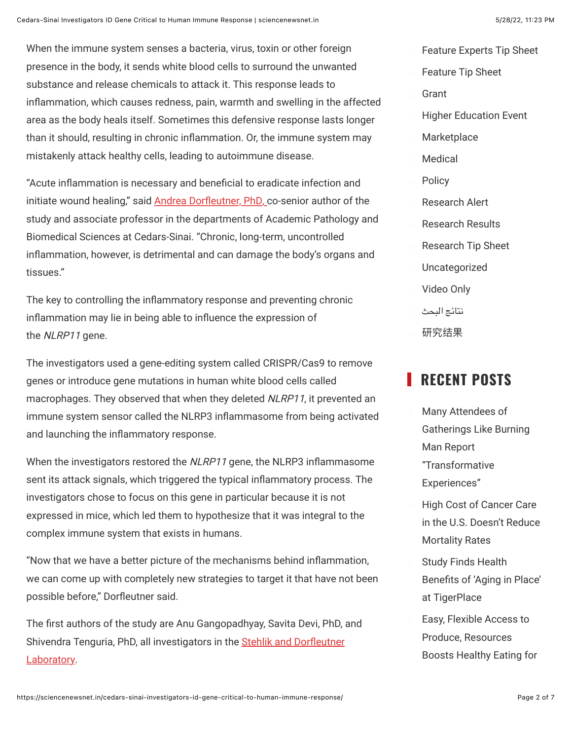When the immune system senses a bacteria, virus, toxin or other foreign

substance and release chemicals to attack it. This response leads to inflammation, which causes redness, pain, warmth and swelling in the affected area as the body heals itself. Sometimes this defensive response lasts longer than it should, resulting in chronic inflammation. Or, the immune system may mistakenly attack healthy cells, leading to autoimmune disease.

"Acute inflammation is necessary and beneficial to eradicate infection and initiate wound healing," said Andrea Dorfleutner, PhD, co-senior author of the study and associate professor in the departments of Academic Pathology and Biomedical Sciences at Cedars-Sinai. "Chronic, long-term, uncontrolled inflammation, however, is detrimental and can damage the body's organs and tissues."

The key to controlling the inflammatory response and preventing chronic inflammation may lie in being able to influence the expression of the NLRP11 gene.

The investigators used a gene-editing system called CRISPR/Cas9 to remove genes or introduce gene mutations in human white blood cells called macrophages. They observed that when they deleted NLRP11, it prevented an immune system sensor called the NLRP3 inflammasome from being activated and launching the inflammatory response.

When the investigators restored the  $NLRP11$  gene, the NLRP3 inflammasome sent its attack signals, which triggered the typical inflammatory process. The investigators chose to focus on this gene in particular because it is not expressed in mice, which led them to hypothesize that it was integral to the complex immune system that exists in humans.

"Now that we have a better picture of the mechanisms behind inflammation, we can come up with completely new strategies to target it that have not been possible before," Dorfleutner said.

The first authors of the study are Anu Gangopadhyay, Savita Devi, PhD, and Shivendra Tenguria, PhD, all investigators in the Stehlik and Dorfleutner Laboratory.

**[Grant](https://sciencenewsnet.in/category/grant/) [Higher Education Event](https://sciencenewsnet.in/category/higher-education-event/) [Marketplace](https://sciencenewsnet.in/category/marketplace/) [Medical](https://sciencenewsnet.in/category/medical/) [Policy](https://sciencenewsnet.in/category/policy/)** [Research Alert](https://sciencenewsnet.in/category/research-alert/) [Research Results](https://sciencenewsnet.in/category/research-results/) [Research Tip Sheet](https://sciencenewsnet.in/category/research-tip-sheet/) [Uncategorized](https://sciencenewsnet.in/category/uncategorized/) **[Video Only](https://sciencenewsnet.in/category/video-only/)** نتائج [البحث](https://sciencenewsnet.in/category/research-results-ar/)

 $F = \frac{1}{2}$  for  $F = \frac{1}{2}$  sheets  $\frac{1}{2}$ 

#### **RECENT POSTS**

[研究结果](https://sciencenewsnet.in/category/research-results-zh/)

Many Attendees of [Gatherings Like Burning](https://sciencenewsnet.in/many-attendees-of-gatherings-like-burning-man-report-transformative-experiences/) Man Report "Transformative Experiences" High Cost of Cancer Care [in the U.S. Doesn't Reduce](https://sciencenewsnet.in/high-cost-of-cancer-care-in-the-u-s-doesn-t-reduce-mortality-rates/) Mortality Rates Study Finds Health Benefits of 'Aging in Place' at TigerPlace Easy, Flexible Access to Produce, Resources [Boosts Healthy Eating for](https://sciencenewsnet.in/easy-flexible-access-to-produce-resources-boosts-healthy-eating-for-central-texas-kids/)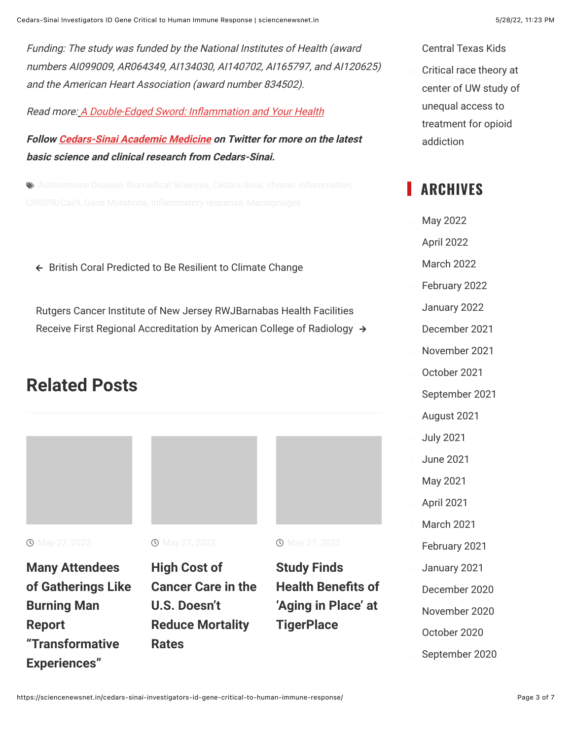Funding: The study was funded by the National Institutes of Health (award numbers AI099009, AR064349, AI134030, AI140702, AI165797, and AI120625) and the American Heart Association (award number 834502).

Read more: A Double-Edged Sword: Inflammation and Your Health

**Follow [Cedars-Sinai Academic Medicine](https://twitter.com/CedarsSinaiMed) on Twitter for more on the latest basic science and clinical research from Cedars-Sinai.**

 $\bullet$  [Autoimmune Disease,](https://sciencenewsnet.in/tag/autoimmune-disease/) [Biomedical Sciences,](https://sciencenewsnet.in/tag/biomedical-sciences/) [Cedars-Sinai,](https://sciencenewsnet.in/tag/cedars-sinai/) chronic inflammation,

 $\leftarrow$  [British Coral Predicted to Be Resilient to Climate Change](https://sciencenewsnet.in/british-coral-predicted-to-be-resilient-to-climate-change/)

[Rutgers Cancer Institute of New Jersey RWJBarnabas Health Facilities](https://sciencenewsnet.in/rutgers-cancer-institute-of-new-jersey-rwjbarnabas-health-facilities-receive-first-regional-accreditation-by-american-college-of-radiology/) Receive First Regional Accreditation by American College of Radiology  $\rightarrow$ 

## **Related Posts**



**1** May 27, 2022

**Many Attendees [of Gatherings Like](https://sciencenewsnet.in/many-attendees-of-gatherings-like-burning-man-report-transformative-experiences/) Burning Man Report "Transformative Experiences"**

**1** May 27, 2022

**High Cost of [Cancer Care in the](https://sciencenewsnet.in/high-cost-of-cancer-care-in-the-u-s-doesn-t-reduce-mortality-rates/) U.S. Doesn't Reduce Mortality Rates**



**Study Finds Health Benefits of 'Aging in Place' at TigerPlace**

[Central Texas Kids](https://sciencenewsnet.in/easy-flexible-access-to-produce-resources-boosts-healthy-eating-for-central-texas-kids/) Critical race theory at [center of UW study of](https://sciencenewsnet.in/critical-race-theory-at-center-of-uw-study-of-unequal-access-to-treatment-for-opioid-addiction/) unequal access to treatment for opioid addiction

### **ARCHIVES**

[May 2022](https://sciencenewsnet.in/2022/05/) ( [April 2022](https://sciencenewsnet.in/2022/04/) [March 2022](https://sciencenewsnet.in/2022/03/) [February 2022](https://sciencenewsnet.in/2022/02/) [January 2022](https://sciencenewsnet.in/2022/01/) [December 2021](https://sciencenewsnet.in/2021/12/) ( [November 2021](https://sciencenewsnet.in/2021/11/) ( [October 2021](https://sciencenewsnet.in/2021/10/) ( [September 2021](https://sciencenewsnet.in/2021/09/) ( [August 2021](https://sciencenewsnet.in/2021/08/) ( [July 2021](https://sciencenewsnet.in/2021/07/) ( [June 2021](https://sciencenewsnet.in/2021/06/) [May 2021](https://sciencenewsnet.in/2021/05/) ( [April 2021](https://sciencenewsnet.in/2021/04/) [March 2021](https://sciencenewsnet.in/2021/03/) ( [February 2021](https://sciencenewsnet.in/2021/02/) ( [January 2021](https://sciencenewsnet.in/2021/01/) [December 2020](https://sciencenewsnet.in/2020/12/) ( [November 2020](https://sciencenewsnet.in/2020/11/) ( [October 2020](https://sciencenewsnet.in/2020/10/) ( [September 2020](https://sciencenewsnet.in/2020/09/)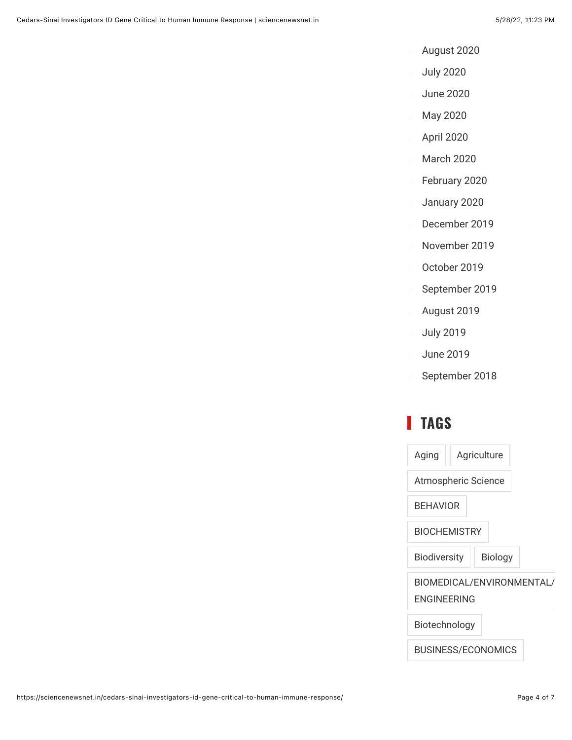- [August 2020](https://sciencenewsnet.in/2020/08/)
- ( [July 2020](https://sciencenewsnet.in/2020/07/)
- ( [June 2020](https://sciencenewsnet.in/2020/06/)
- ( [May 2020](https://sciencenewsnet.in/2020/05/)
- ( [April 2020](https://sciencenewsnet.in/2020/04/)
- ( [March 2020](https://sciencenewsnet.in/2020/03/)
- [February 2020](https://sciencenewsnet.in/2020/02/)
- ( [January 2020](https://sciencenewsnet.in/2020/01/)
- [December 2019](https://sciencenewsnet.in/2019/12/)
- ( [November 2019](https://sciencenewsnet.in/2019/11/)
- [October 2019](https://sciencenewsnet.in/2019/10/)
- [September 2019](https://sciencenewsnet.in/2019/09/)
- [August 2019](https://sciencenewsnet.in/2019/08/)
- ( [July 2019](https://sciencenewsnet.in/2019/07/)
- ( [June 2019](https://sciencenewsnet.in/2019/06/)
- [September 2018](https://sciencenewsnet.in/2018/09/)

### **TAGS**

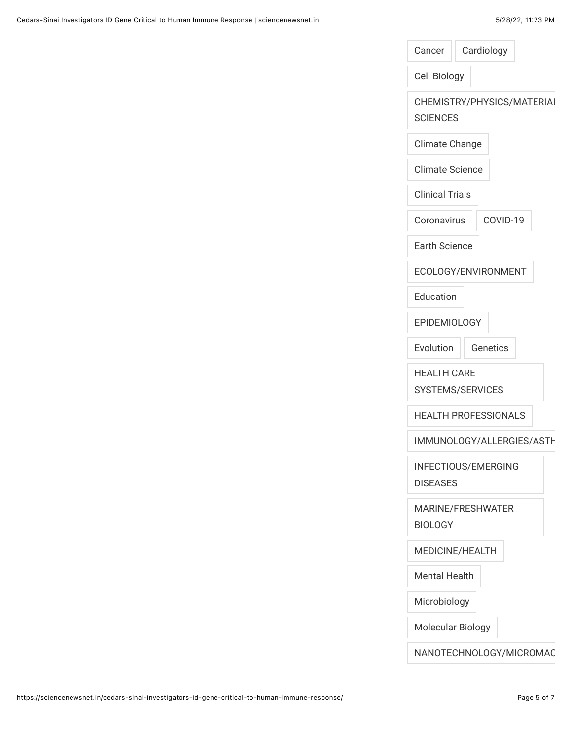| Cancer                 | Cardiology                  |
|------------------------|-----------------------------|
| Cell Biology           |                             |
| <b>SCIENCES</b>        | CHEMISTRY/PHYSICS/MATERIAI  |
| Climate Change         |                             |
| <b>Climate Science</b> |                             |
| <b>Clinical Trials</b> |                             |
| Coronavirus            | COVID-19                    |
| <b>Earth Science</b>   |                             |
|                        | ECOLOGY/ENVIRONMENT         |
| Education              |                             |
| <b>EPIDEMIOLOGY</b>    |                             |
| Evolution              | Genetics                    |
| <b>HEALTH CARE</b>     | SYSTEMS/SERVICES            |
|                        | <b>HEALTH PROFESSIONALS</b> |
|                        | IMMUNOLOGY/ALLERGIES/ASTH   |
| <b>DISEASES</b>        | INFECTIOUS/EMERGING         |
| <b>BIOLOGY</b>         | MARINE/FRESHWATER           |
|                        | MEDICINE/HEALTH             |
| <b>Mental Health</b>   |                             |
| Microbiology           |                             |
| Molecular Biology      |                             |
|                        | NANOTECHNOLOGY/MICROMAC     |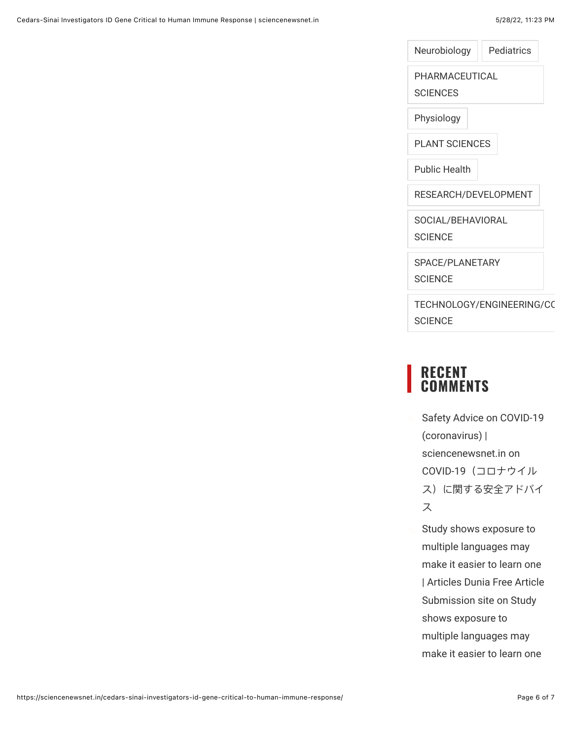[Neurobiology](https://sciencenewsnet.in/tag/neurobiology/) | [Pediatrics](https://sciencenewsnet.in/tag/pediatrics/)

[PHARMACEUTICAL](https://sciencenewsnet.in/tag/pharmaceutical-sciences/)

**SCIENCES** 

[Physiology](https://sciencenewsnet.in/tag/physiology/)

[PLANT SCIENCES](https://sciencenewsnet.in/tag/plant-sciences/)

[Public Health](https://sciencenewsnet.in/tag/public-health/)

[RESEARCH/DEVELOPMENT](https://sciencenewsnet.in/tag/research-development/)

[SOCIAL/BEHAVIORAL](https://sciencenewsnet.in/tag/social-behavioral-science/)

**SCIENCE** 

[SPACE/PLANETARY](https://sciencenewsnet.in/tag/space-planetary-science/)

**SCIENCE** 

TECHNOLOGY/ENGINEERING/CC **SCIENCE** 

#### **RECENT COMMENTS**

[Safety Advice on COVID-19](https://sciencenewsnet.in/safety-advice-on-covid-19-coronavirus/) (coronavirus) | sciencenewsnet.in on COVID-19(コロナウイル [ス\)に関する安全アドバイ](https://sciencenewsnet.in/covid-19%ef%bc%88%e3%82%b3%e3%83%ad%e3%83%8a%e3%82%a6%e3%82%a4%e3%83%ab%e3%82%b9%ef%bc%89%e3%81%ab%e9%96%a2%e3%81%99%e3%82%8b%e5%ae%89%e5%85%a8%e3%82%a2%e3%83%89%e3%83%90%e3%82%a4%e3%82%b9/#comment-51) ス

Study shows exposure to multiple languages may make it easier to learn one [| Articles Dunia Free Article](https://www.articlesdunia.com/education/study-shows-exposure-to-multiple-languages-may-make-it-easier-to-learn-one) Submission site on Study shows exposure to multiple languages may [make it easier to learn one](https://sciencenewsnet.in/study-shows-exposure-to-multiple-languages-may-make-it-easier-to-learn-one/#comment-40)